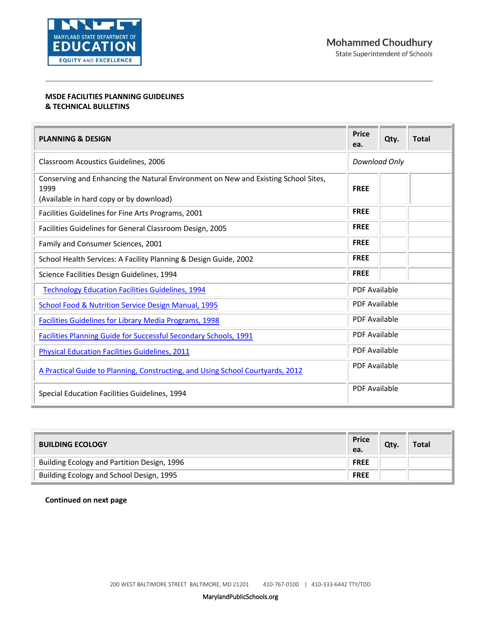

## **MSDE FACILITIES PLANNING GUIDELINES & TECHNICAL BULLETINS**

| <b>PLANNING &amp; DESIGN</b>                                                                                                          | <b>Price</b><br>ea.  | Qty. | <b>Total</b> |
|---------------------------------------------------------------------------------------------------------------------------------------|----------------------|------|--------------|
| Classroom Acoustics Guidelines, 2006                                                                                                  | Download Only        |      |              |
| Conserving and Enhancing the Natural Environment on New and Existing School Sites,<br>1999<br>(Available in hard copy or by download) | <b>FREE</b>          |      |              |
| Facilities Guidelines for Fine Arts Programs, 2001                                                                                    | <b>FREE</b>          |      |              |
| Facilities Guidelines for General Classroom Design, 2005                                                                              | <b>FREE</b>          |      |              |
| Family and Consumer Sciences, 2001                                                                                                    | <b>FREE</b>          |      |              |
| School Health Services: A Facility Planning & Design Guide, 2002                                                                      | <b>FREE</b>          |      |              |
| Science Facilities Design Guidelines, 1994                                                                                            | <b>FREE</b>          |      |              |
| <b>Technology Education Facilities Guidelines, 1994</b>                                                                               | <b>PDF Available</b> |      |              |
| School Food & Nutrition Service Design Manual, 1995                                                                                   | <b>PDF Available</b> |      |              |
| <b>Facilities Guidelines for Library Media Programs, 1998</b>                                                                         | <b>PDF Available</b> |      |              |
| <b>Facilities Planning Guide for Successful Secondary Schools, 1991</b>                                                               | <b>PDF Available</b> |      |              |
| <b>Physical Education Facilities Guidelines, 2011</b>                                                                                 | <b>PDF Available</b> |      |              |
| A Practical Guide to Planning, Constructing, and Using School Courtyards, 2012                                                        | <b>PDF Available</b> |      |              |
| Special Education Facilities Guidelines, 1994                                                                                         | <b>PDF Available</b> |      |              |

| <b>BUILDING ECOLOGY</b>                     | <b>Price</b><br>ea. | Qty. | Total |
|---------------------------------------------|---------------------|------|-------|
| Building Ecology and Partition Design, 1996 | <b>FREE</b>         |      |       |
| Building Ecology and School Design, 1995    | <b>FREE</b>         |      |       |

**Continued on next page**